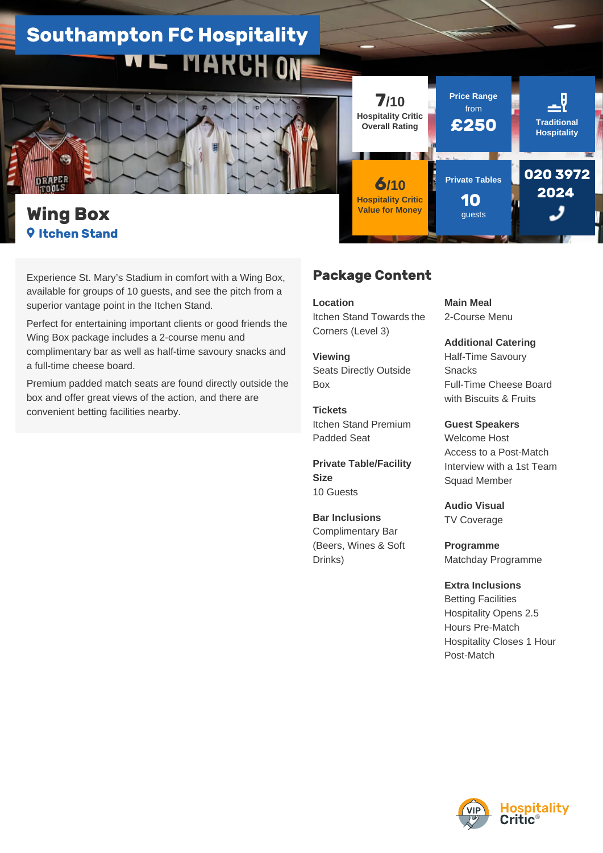## **Southampton FC Hospitality VE MARCH ON**



## **Wing Box Itchen Stand**

Experience St. Mary's Stadium in comfort with a Wing Box, available for groups of 10 guests, and see the pitch from a superior vantage point in the Itchen Stand.

Perfect for entertaining important clients or good friends the Wing Box package includes a 2-course menu and complimentary bar as well as half-time savoury snacks and a full-time cheese board.

Premium padded match seats are found directly outside the box and offer great views of the action, and there are convenient betting facilities nearby.

## **Package Content**

**7/10 Hospitality Critic Overall Rating**

**6/10 Hospitality Critic Value for Money**

**Location**  Itchen Stand Towards the Corners (Level 3)

**Viewing**  Seats Directly Outside Box

**Tickets**  Itchen Stand Premium Padded Seat

**Private Table/Facility Size**  10 Guests

**Bar Inclusions**  Complimentary Bar (Beers, Wines & Soft Drinks)

**Main Meal**  2-Course Menu

**Price Range** from

**Private Tables**

**10**  guests

**£250 Traditional**

**Hospitality**

**020 3972 2024** 

**Additional Catering**  Half-Time Savoury Snacks Full-Time Cheese Board with Biscuits & Fruits

**Guest Speakers**  Welcome Host Access to a Post-Match Interview with a 1st Team Squad Member

**Audio Visual**  TV Coverage

**Programme**  Matchday Programme

**Extra Inclusions**  Betting Facilities Hospitality Opens 2.5 Hours Pre-Match Hospitality Closes 1 Hour Post-Match